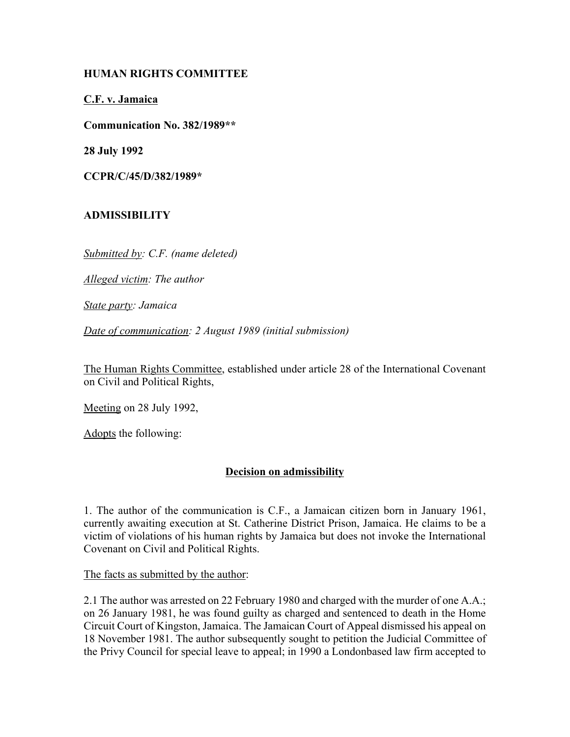# **HUMAN RIGHTS COMMITTEE**

**C.F. v. Jamaica**

**Communication No. 382/1989\*\***

**28 July 1992**

**CCPR/C/45/D/382/1989\***

# **ADMISSIBILITY**

*Submitted by: C.F. (name deleted)*

*Alleged victim: The author*

*State party: Jamaica*

*Date of communication: 2 August 1989 (initial submission)*

The Human Rights Committee, established under article 28 of the International Covenant on Civil and Political Rights,

Meeting on 28 July 1992,

Adopts the following:

# **Decision on admissibility**

1. The author of the communication is C.F., a Jamaican citizen born in January 1961, currently awaiting execution at St. Catherine District Prison, Jamaica. He claims to be a victim of violations of his human rights by Jamaica but does not invoke the International Covenant on Civil and Political Rights.

The facts as submitted by the author:

2.1 The author was arrested on 22 February 1980 and charged with the murder of one A.A.; on 26 January 1981, he was found guilty as charged and sentenced to death in the Home Circuit Court of Kingston, Jamaica. The Jamaican Court of Appeal dismissed his appeal on 18 November 1981. The author subsequently sought to petition the Judicial Committee of the Privy Council for special leave to appeal; in 1990 a Londonbased law firm accepted to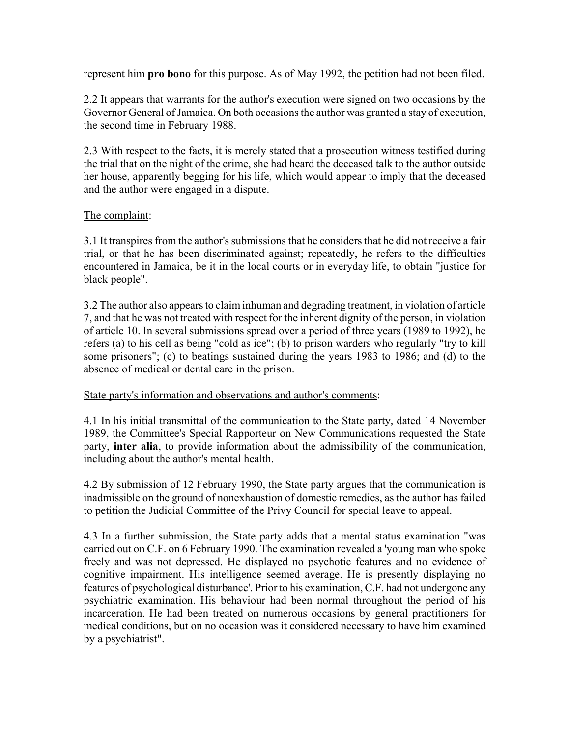represent him **pro bono** for this purpose. As of May 1992, the petition had not been filed.

2.2 It appears that warrants for the author's execution were signed on two occasions by the Governor General of Jamaica. On both occasions the author was granted a stay of execution, the second time in February 1988.

2.3 With respect to the facts, it is merely stated that a prosecution witness testified during the trial that on the night of the crime, she had heard the deceased talk to the author outside her house, apparently begging for his life, which would appear to imply that the deceased and the author were engaged in a dispute.

### The complaint:

3.1 It transpires from the author's submissions that he considers that he did not receive a fair trial, or that he has been discriminated against; repeatedly, he refers to the difficulties encountered in Jamaica, be it in the local courts or in everyday life, to obtain "justice for black people".

3.2 The author also appears to claim inhuman and degrading treatment, in violation of article 7, and that he was not treated with respect for the inherent dignity of the person, in violation of article 10. In several submissions spread over a period of three years (1989 to 1992), he refers (a) to his cell as being "cold as ice"; (b) to prison warders who regularly "try to kill some prisoners"; (c) to beatings sustained during the years 1983 to 1986; and (d) to the absence of medical or dental care in the prison.

### State party's information and observations and author's comments:

4.1 In his initial transmittal of the communication to the State party, dated 14 November 1989, the Committee's Special Rapporteur on New Communications requested the State party, **inter alia**, to provide information about the admissibility of the communication, including about the author's mental health.

4.2 By submission of 12 February 1990, the State party argues that the communication is inadmissible on the ground of nonexhaustion of domestic remedies, as the author has failed to petition the Judicial Committee of the Privy Council for special leave to appeal.

4.3 In a further submission, the State party adds that a mental status examination "was carried out on C.F. on 6 February 1990. The examination revealed a 'young man who spoke freely and was not depressed. He displayed no psychotic features and no evidence of cognitive impairment. His intelligence seemed average. He is presently displaying no features of psychological disturbance'. Prior to his examination, C.F. had not undergone any psychiatric examination. His behaviour had been normal throughout the period of his incarceration. He had been treated on numerous occasions by general practitioners for medical conditions, but on no occasion was it considered necessary to have him examined by a psychiatrist".